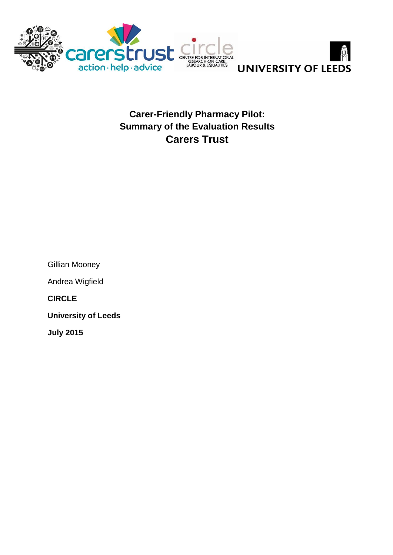



**Carer-Friendly Pharmacy Pilot: Summary of the Evaluation Results Carers Trust**

| Gillian Mooney             |
|----------------------------|
| Andrea Wigfield            |
| <b>CIRCLE</b>              |
| <b>University of Leeds</b> |
| <b>July 2015</b>           |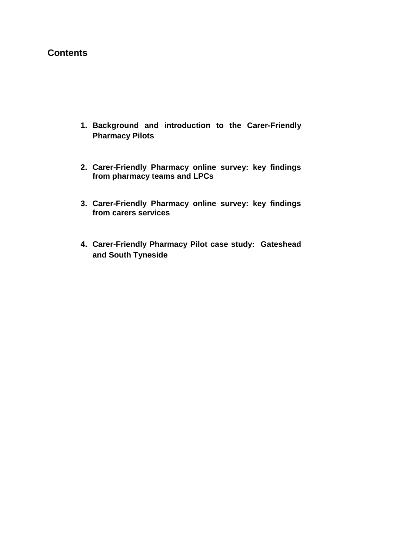## **Contents**

- **1. Background and introduction to the Carer-Friendly Pharmacy Pilots**
- **2. Carer-Friendly Pharmacy online survey: key findings from pharmacy teams and LPCs**
- **3. Carer-Friendly Pharmacy online survey: key findings from carers services**
- **4. Carer-Friendly Pharmacy Pilot case study: Gateshead and South Tyneside**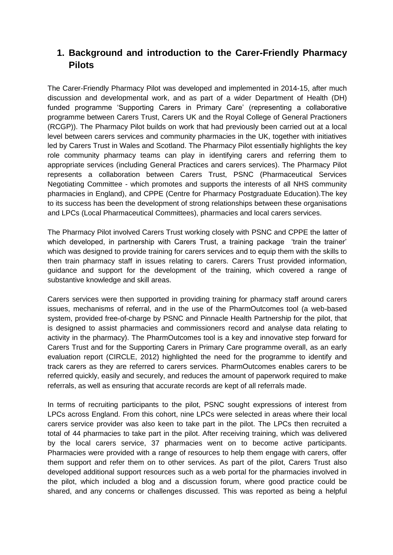# **1. Background and introduction to the Carer-Friendly Pharmacy Pilots**

The Carer-Friendly Pharmacy Pilot was developed and implemented in 2014-15, after much discussion and developmental work, and as part of a wider Department of Health (DH) funded programme 'Supporting Carers in Primary Care' (representing a collaborative programme between Carers Trust, Carers UK and the Royal College of General Practioners (RCGP)). The Pharmacy Pilot builds on work that had previously been carried out at a local level between carers services and community pharmacies in the UK, together with initiatives led by Carers Trust in Wales and Scotland. The Pharmacy Pilot essentially highlights the key role community pharmacy teams can play in identifying carers and referring them to appropriate services (including General Practices and carers services). The Pharmacy Pilot represents a collaboration between Carers Trust, PSNC (Pharmaceutical Services Negotiating Committee - which promotes and supports the interests of all NHS community pharmacies in England), and CPPE (Centre for Pharmacy Postgraduate Education).The key to its success has been the development of strong relationships between these organisations and LPCs (Local Pharmaceutical Committees), pharmacies and local carers services.

The Pharmacy Pilot involved Carers Trust working closely with PSNC and CPPE the latter of which developed, in partnership with Carers Trust, a training package 'train the trainer' which was designed to provide training for carers services and to equip them with the skills to then train pharmacy staff in issues relating to carers. Carers Trust provided information, guidance and support for the development of the training, which covered a range of substantive knowledge and skill areas.

Carers services were then supported in providing training for pharmacy staff around carers issues, mechanisms of referral, and in the use of the PharmOutcomes tool (a web-based system, provided free-of-charge by PSNC and Pinnacle Health Partnership for the pilot, that is designed to assist pharmacies and commissioners record and analyse data relating to activity in the pharmacy). The PharmOutcomes tool is a key and innovative step forward for Carers Trust and for the Supporting Carers in Primary Care programme overall, as an early evaluation report (CIRCLE, 2012) highlighted the need for the programme to identify and track carers as they are referred to carers services. PharmOutcomes enables carers to be referred quickly, easily and securely, and reduces the amount of paperwork required to make referrals, as well as ensuring that accurate records are kept of all referrals made.

In terms of recruiting participants to the pilot, PSNC sought expressions of interest from LPCs across England. From this cohort, nine LPCs were selected in areas where their local carers service provider was also keen to take part in the pilot. The LPCs then recruited a total of 44 pharmacies to take part in the pilot. After receiving training, which was delivered by the local carers service, 37 pharmacies went on to become active participants. Pharmacies were provided with a range of resources to help them engage with carers, offer them support and refer them on to other services. As part of the pilot, Carers Trust also developed additional support resources such as a web portal for the pharmacies involved in the pilot, which included a blog and a discussion forum, where good practice could be shared, and any concerns or challenges discussed. This was reported as being a helpful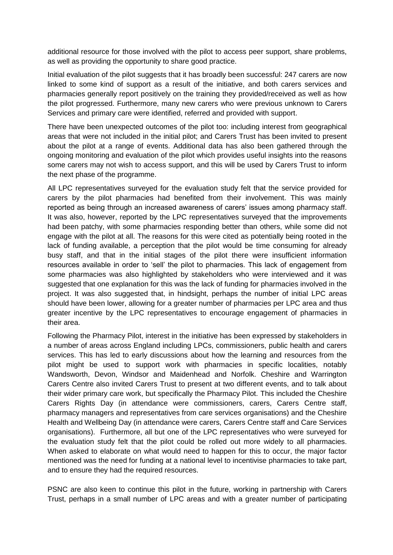additional resource for those involved with the pilot to access peer support, share problems, as well as providing the opportunity to share good practice.

Initial evaluation of the pilot suggests that it has broadly been successful: 247 carers are now linked to some kind of support as a result of the initiative, and both carers services and pharmacies generally report positively on the training they provided/received as well as how the pilot progressed. Furthermore, many new carers who were previous unknown to Carers Services and primary care were identified, referred and provided with support.

There have been unexpected outcomes of the pilot too: including interest from geographical areas that were not included in the initial pilot; and Carers Trust has been invited to present about the pilot at a range of events. Additional data has also been gathered through the ongoing monitoring and evaluation of the pilot which provides useful insights into the reasons some carers may not wish to access support, and this will be used by Carers Trust to inform the next phase of the programme.

All LPC representatives surveyed for the evaluation study felt that the service provided for carers by the pilot pharmacies had benefited from their involvement. This was mainly reported as being through an increased awareness of carers' issues among pharmacy staff. It was also, however, reported by the LPC representatives surveyed that the improvements had been patchy, with some pharmacies responding better than others, while some did not engage with the pilot at all. The reasons for this were cited as potentially being rooted in the lack of funding available, a perception that the pilot would be time consuming for already busy staff, and that in the initial stages of the pilot there were insufficient information resources available in order to 'sell' the pilot to pharmacies. This lack of engagement from some pharmacies was also highlighted by stakeholders who were interviewed and it was suggested that one explanation for this was the lack of funding for pharmacies involved in the project. It was also suggested that, in hindsight, perhaps the number of initial LPC areas should have been lower, allowing for a greater number of pharmacies per LPC area and thus greater incentive by the LPC representatives to encourage engagement of pharmacies in their area.

Following the Pharmacy Pilot, interest in the initiative has been expressed by stakeholders in a number of areas across England including LPCs, commissioners, public health and carers services. This has led to early discussions about how the learning and resources from the pilot might be used to support work with pharmacies in specific localities, notably Wandsworth, Devon, Windsor and Maidenhead and Norfolk. Cheshire and Warrington Carers Centre also invited Carers Trust to present at two different events, and to talk about their wider primary care work, but specifically the Pharmacy Pilot. This included the Cheshire Carers Rights Day (in attendance were commissioners, carers, Carers Centre staff, pharmacy managers and representatives from care services organisations) and the Cheshire Health and Wellbeing Day (in attendance were carers, Carers Centre staff and Care Services organisations). Furthermore, all but one of the LPC representatives who were surveyed for the evaluation study felt that the pilot could be rolled out more widely to all pharmacies. When asked to elaborate on what would need to happen for this to occur, the major factor mentioned was the need for funding at a national level to incentivise pharmacies to take part, and to ensure they had the required resources.

PSNC are also keen to continue this pilot in the future, working in partnership with Carers Trust, perhaps in a small number of LPC areas and with a greater number of participating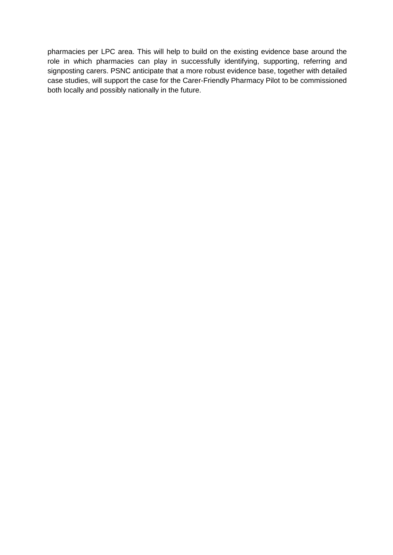pharmacies per LPC area. This will help to build on the existing evidence base around the role in which pharmacies can play in successfully identifying, supporting, referring and signposting carers. PSNC anticipate that a more robust evidence base, together with detailed case studies, will support the case for the Carer-Friendly Pharmacy Pilot to be commissioned both locally and possibly nationally in the future.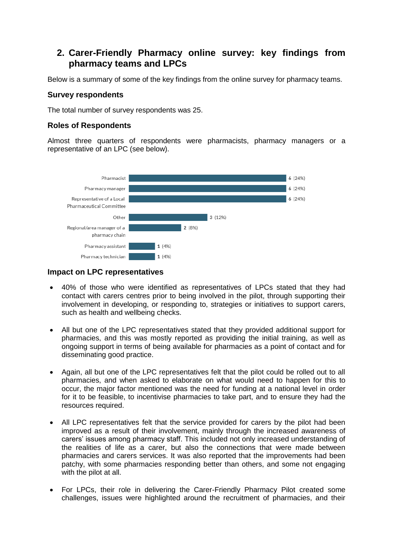# **2. Carer-Friendly Pharmacy online survey: key findings from pharmacy teams and LPCs**

Below is a summary of some of the key findings from the online survey for pharmacy teams.

### **Survey respondents**

The total number of survey respondents was 25.

### **Roles of Respondents**

Almost three quarters of respondents were pharmacists, pharmacy managers or a representative of an LPC (see below).



### **Impact on LPC representatives**

- 40% of those who were identified as representatives of LPCs stated that they had contact with carers centres prior to being involved in the pilot, through supporting their involvement in developing, or responding to, strategies or initiatives to support carers, such as health and wellbeing checks.
- All but one of the LPC representatives stated that they provided additional support for pharmacies, and this was mostly reported as providing the initial training, as well as ongoing support in terms of being available for pharmacies as a point of contact and for disseminating good practice.
- Again, all but one of the LPC representatives felt that the pilot could be rolled out to all pharmacies, and when asked to elaborate on what would need to happen for this to occur, the major factor mentioned was the need for funding at a national level in order for it to be feasible, to incentivise pharmacies to take part, and to ensure they had the resources required.
- All LPC representatives felt that the service provided for carers by the pilot had been improved as a result of their involvement, mainly through the increased awareness of carers' issues among pharmacy staff. This included not only increased understanding of the realities of life as a carer, but also the connections that were made between pharmacies and carers services. It was also reported that the improvements had been patchy, with some pharmacies responding better than others, and some not engaging with the pilot at all.
- For LPCs, their role in delivering the Carer-Friendly Pharmacy Pilot created some challenges, issues were highlighted around the recruitment of pharmacies, and their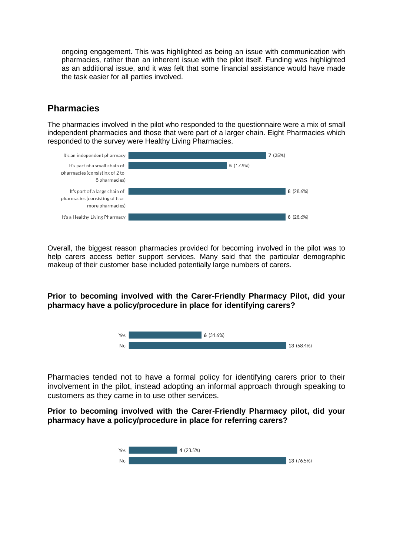ongoing engagement. This was highlighted as being an issue with communication with pharmacies, rather than an inherent issue with the pilot itself. Funding was highlighted as an additional issue, and it was felt that some financial assistance would have made the task easier for all parties involved.

# **Pharmacies**

The pharmacies involved in the pilot who responded to the questionnaire were a mix of small independent pharmacies and those that were part of a larger chain. Eight Pharmacies which responded to the survey were Healthy Living Pharmacies.



Overall, the biggest reason pharmacies provided for becoming involved in the pilot was to help carers access better support services. Many said that the particular demographic makeup of their customer base included potentially large numbers of carers.

**Prior to becoming involved with the Carer-Friendly Pharmacy Pilot, did your pharmacy have a policy/procedure in place for identifying carers?**



Pharmacies tended not to have a formal policy for identifying carers prior to their involvement in the pilot, instead adopting an informal approach through speaking to customers as they came in to use other services.

**Prior to becoming involved with the Carer-Friendly Pharmacy pilot, did your pharmacy have a policy/procedure in place for referring carers?**

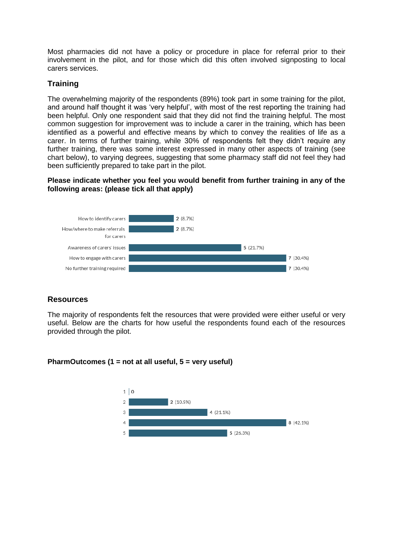Most pharmacies did not have a policy or procedure in place for referral prior to their involvement in the pilot, and for those which did this often involved signposting to local carers services.

## **Training**

The overwhelming majority of the respondents (89%) took part in some training for the pilot, and around half thought it was 'very helpful', with most of the rest reporting the training had been helpful. Only one respondent said that they did not find the training helpful. The most common suggestion for improvement was to include a carer in the training, which has been identified as a powerful and effective means by which to convey the realities of life as a carer. In terms of further training, while 30% of respondents felt they didn't require any further training, there was some interest expressed in many other aspects of training (see chart below), to varying degrees, suggesting that some pharmacy staff did not feel they had been sufficiently prepared to take part in the pilot.

### **Please indicate whether you feel you would benefit from further training in any of the following areas: (please tick all that apply)**



## **Resources**

The majority of respondents felt the resources that were provided were either useful or very useful. Below are the charts for how useful the respondents found each of the resources provided through the pilot.

#### **PharmOutcomes (1 = not at all useful, 5 = very useful)**

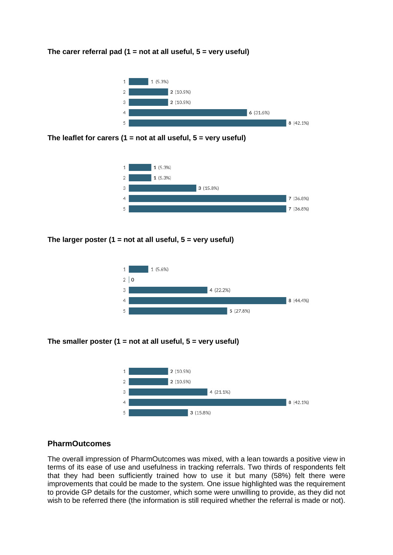#### **The carer referral pad (1 = not at all useful, 5 = very useful)**



**The leaflet for carers (1 = not at all useful, 5 = very useful)**



**The larger poster (1 = not at all useful, 5 = very useful)**



**The smaller poster (1 = not at all useful, 5 = very useful)**



#### **PharmOutcomes**

The overall impression of PharmOutcomes was mixed, with a lean towards a positive view in terms of its ease of use and usefulness in tracking referrals. Two thirds of respondents felt that they had been sufficiently trained how to use it but many (58%) felt there were improvements that could be made to the system. One issue highlighted was the requirement to provide GP details for the customer, which some were unwilling to provide, as they did not wish to be referred there (the information is still required whether the referral is made or not).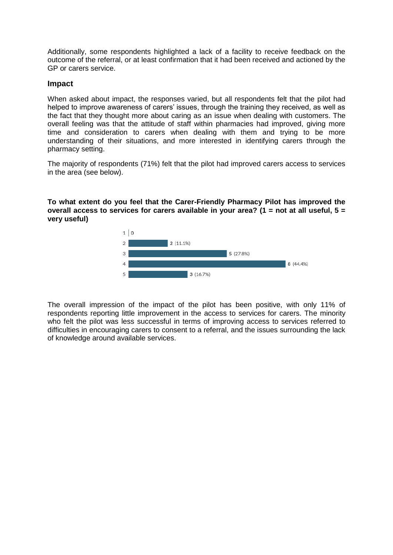Additionally, some respondents highlighted a lack of a facility to receive feedback on the outcome of the referral, or at least confirmation that it had been received and actioned by the GP or carers service.

#### **Impact**

When asked about impact, the responses varied, but all respondents felt that the pilot had helped to improve awareness of carers' issues, through the training they received, as well as the fact that they thought more about caring as an issue when dealing with customers. The overall feeling was that the attitude of staff within pharmacies had improved, giving more time and consideration to carers when dealing with them and trying to be more understanding of their situations, and more interested in identifying carers through the pharmacy setting.

The majority of respondents (71%) felt that the pilot had improved carers access to services in the area (see below).

**To what extent do you feel that the Carer-Friendly Pharmacy Pilot has improved the overall access to services for carers available in your area? (1 = not at all useful, 5 = very useful)**



The overall impression of the impact of the pilot has been positive, with only 11% of respondents reporting little improvement in the access to services for carers. The minority who felt the pilot was less successful in terms of improving access to services referred to difficulties in encouraging carers to consent to a referral, and the issues surrounding the lack of knowledge around available services.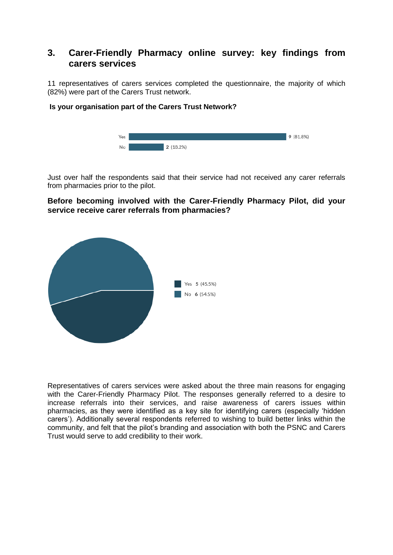## **3. Carer-Friendly Pharmacy online survey: key findings from carers services**

11 representatives of carers services completed the questionnaire, the majority of which (82%) were part of the Carers Trust network.

#### **Is your organisation part of the Carers Trust Network?**



Just over half the respondents said that their service had not received any carer referrals from pharmacies prior to the pilot.

## **Before becoming involved with the Carer-Friendly Pharmacy Pilot, did your service receive carer referrals from pharmacies?**



Representatives of carers services were asked about the three main reasons for engaging with the Carer-Friendly Pharmacy Pilot. The responses generally referred to a desire to increase referrals into their services, and raise awareness of carers issues within pharmacies, as they were identified as a key site for identifying carers (especially 'hidden carers'). Additionally several respondents referred to wishing to build better links within the community, and felt that the pilot's branding and association with both the PSNC and Carers Trust would serve to add credibility to their work.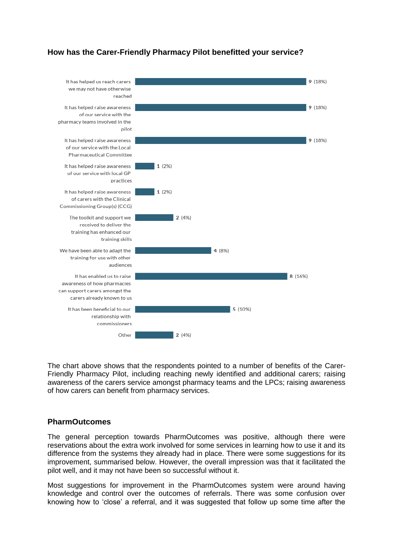## **How has the Carer-Friendly Pharmacy Pilot benefitted your service?**



The chart above shows that the respondents pointed to a number of benefits of the Carer-Friendly Pharmacy Pilot, including reaching newly identified and additional carers; raising awareness of the carers service amongst pharmacy teams and the LPCs; raising awareness of how carers can benefit from pharmacy services.

#### **PharmOutcomes**

The general perception towards PharmOutcomes was positive, although there were reservations about the extra work involved for some services in learning how to use it and its difference from the systems they already had in place. There were some suggestions for its improvement, summarised below. However, the overall impression was that it facilitated the pilot well, and it may not have been so successful without it.

Most suggestions for improvement in the PharmOutcomes system were around having knowledge and control over the outcomes of referrals. There was some confusion over knowing how to 'close' a referral, and it was suggested that follow up some time after the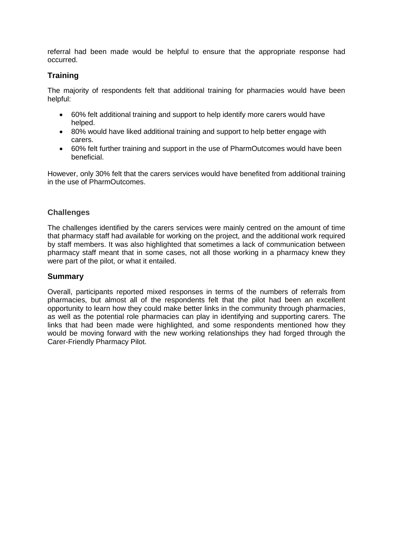referral had been made would be helpful to ensure that the appropriate response had occurred.

## **Training**

The majority of respondents felt that additional training for pharmacies would have been helpful:

- 60% felt additional training and support to help identify more carers would have helped.
- 80% would have liked additional training and support to help better engage with carers.
- 60% felt further training and support in the use of PharmOutcomes would have been beneficial.

However, only 30% felt that the carers services would have benefited from additional training in the use of PharmOutcomes.

## **Challenges**

The challenges identified by the carers services were mainly centred on the amount of time that pharmacy staff had available for working on the project, and the additional work required by staff members. It was also highlighted that sometimes a lack of communication between pharmacy staff meant that in some cases, not all those working in a pharmacy knew they were part of the pilot, or what it entailed.

#### **Summary**

Overall, participants reported mixed responses in terms of the numbers of referrals from pharmacies, but almost all of the respondents felt that the pilot had been an excellent opportunity to learn how they could make better links in the community through pharmacies, as well as the potential role pharmacies can play in identifying and supporting carers. The links that had been made were highlighted, and some respondents mentioned how they would be moving forward with the new working relationships they had forged through the Carer-Friendly Pharmacy Pilot.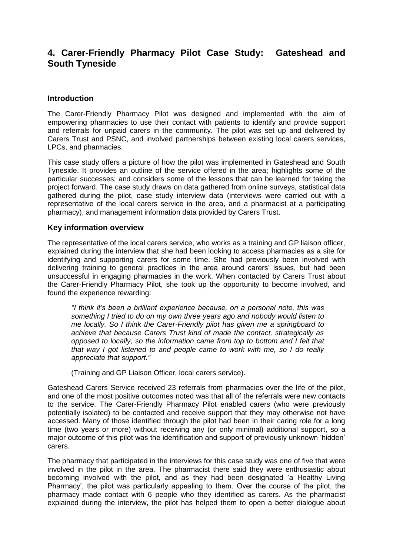# **4. Carer-Friendly Pharmacy Pilot Case Study: Gateshead and South Tyneside**

#### **Introduction**

The Carer-Friendly Pharmacy Pilot was designed and implemented with the aim of empowering pharmacies to use their contact with patients to identify and provide support and referrals for unpaid carers in the community. The pilot was set up and delivered by Carers Trust and PSNC, and involved partnerships between existing local carers services, LPCs, and pharmacies.

This case study offers a picture of how the pilot was implemented in Gateshead and South Tyneside. It provides an outline of the service offered in the area; highlights some of the particular successes; and considers some of the lessons that can be learned for taking the project forward. The case study draws on data gathered from online surveys, statistical data gathered during the pilot, case study interview data (interviews were carried out with a representative of the local carers service in the area, and a pharmacist at a participating pharmacy), and management information data provided by Carers Trust.

#### **Key information overview**

The representative of the local carers service, who works as a training and GP liaison officer, explained during the interview that she had been looking to access pharmacies as a site for identifying and supporting carers for some time. She had previously been involved with delivering training to general practices in the area around carers' issues, but had been unsuccessful in engaging pharmacies in the work. When contacted by Carers Trust about the Carer-Friendly Pharmacy Pilot, she took up the opportunity to become involved, and found the experience rewarding:

*"I think it's been a brilliant experience because, on a personal note, this was something I tried to do on my own three years ago and nobody would listen to me locally. So I think the Carer-Friendly pilot has given me a springboard to achieve that because Carers Trust kind of made the contact, strategically as opposed to locally, so the information came from top to bottom and I felt that that way I got listened to and people came to work with me, so I do really appreciate that support."*

(Training and GP Liaison Officer, local carers service).

Gateshead Carers Service received 23 referrals from pharmacies over the life of the pilot, and one of the most positive outcomes noted was that all of the referrals were new contacts to the service. The Carer-Friendly Pharmacy Pilot enabled carers (who were previously potentially isolated) to be contacted and receive support that they may otherwise not have accessed. Many of those identified through the pilot had been in their caring role for a long time (two years or more) without receiving any (or only minimal) additional support, so a major outcome of this pilot was the identification and support of previously unknown 'hidden' carers.

The pharmacy that participated in the interviews for this case study was one of five that were involved in the pilot in the area. The pharmacist there said they were enthusiastic about becoming involved with the pilot, and as they had been designated 'a Healthy Living Pharmacy', the pilot was particularly appealing to them. Over the course of the pilot, the pharmacy made contact with 6 people who they identified as carers. As the pharmacist explained during the interview, the pilot has helped them to open a better dialogue about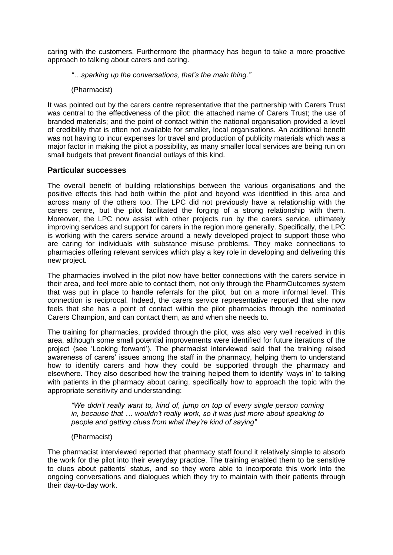caring with the customers. Furthermore the pharmacy has begun to take a more proactive approach to talking about carers and caring.

*"…sparking up the conversations, that's the main thing."*

(Pharmacist)

It was pointed out by the carers centre representative that the partnership with Carers Trust was central to the effectiveness of the pilot: the attached name of Carers Trust; the use of branded materials; and the point of contact within the national organisation provided a level of credibility that is often not available for smaller, local organisations. An additional benefit was not having to incur expenses for travel and production of publicity materials which was a major factor in making the pilot a possibility, as many smaller local services are being run on small budgets that prevent financial outlays of this kind.

#### **Particular successes**

The overall benefit of building relationships between the various organisations and the positive effects this had both within the pilot and beyond was identified in this area and across many of the others too. The LPC did not previously have a relationship with the carers centre, but the pilot facilitated the forging of a strong relationship with them. Moreover, the LPC now assist with other projects run by the carers service, ultimately improving services and support for carers in the region more generally. Specifically, the LPC is working with the carers service around a newly developed project to support those who are caring for individuals with substance misuse problems. They make connections to pharmacies offering relevant services which play a key role in developing and delivering this new project.

The pharmacies involved in the pilot now have better connections with the carers service in their area, and feel more able to contact them, not only through the PharmOutcomes system that was put in place to handle referrals for the pilot, but on a more informal level. This connection is reciprocal. Indeed, the carers service representative reported that she now feels that she has a point of contact within the pilot pharmacies through the nominated Carers Champion, and can contact them, as and when she needs to.

The training for pharmacies, provided through the pilot, was also very well received in this area, although some small potential improvements were identified for future iterations of the project (see 'Looking forward'). The pharmacist interviewed said that the training raised awareness of carers' issues among the staff in the pharmacy, helping them to understand how to identify carers and how they could be supported through the pharmacy and elsewhere. They also described how the training helped them to identify 'ways in' to talking with patients in the pharmacy about caring, specifically how to approach the topic with the appropriate sensitivity and understanding:

*"We didn't really want to, kind of, jump on top of every single person coming in, because that … wouldn't really work, so it was just more about speaking to people and getting clues from what they're kind of saying"*

(Pharmacist)

The pharmacist interviewed reported that pharmacy staff found it relatively simple to absorb the work for the pilot into their everyday practice. The training enabled them to be sensitive to clues about patients' status, and so they were able to incorporate this work into the ongoing conversations and dialogues which they try to maintain with their patients through their day-to-day work.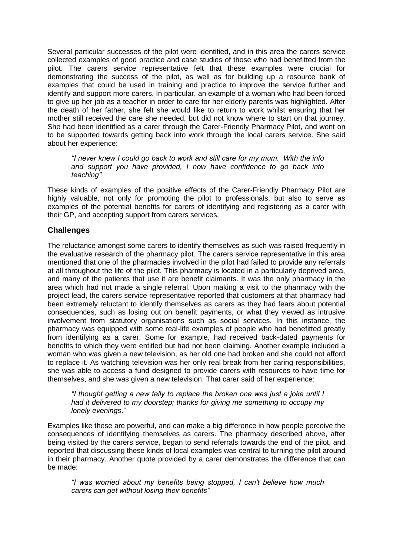Several particular successes of the pilot were identified, and in this area the carers service collected examples of good practice and case studies of those who had benefitted from the pilot. The carers service representative felt that these examples were crucial for demonstrating the success of the pilot, as well as for building up a resource bank of examples that could be used in training and practice to improve the service further and identify and support more carers. In particular, an example of a woman who had been forced to give up her job as a teacher in order to care for her elderly parents was highlighted. After the death of her father, she felt she would like to return to work whilst ensuring that her mother still received the care she needed, but did not know where to start on that journey. She had been identified as a carer through the Carer-Friendly Pharmacy Pilot, and went on to be supported towards getting back into work through the local carers service. She said about her experience:

*"I never knew I could go back to work and still care for my mum. With the info and support you have provided, I now have confidence to go back into teaching"*

These kinds of examples of the positive effects of the Carer-Friendly Pharmacy Pilot are highly valuable, not only for promoting the pilot to professionals, but also to serve as examples of the potential benefits for carers of identifying and registering as a carer with their GP, and accepting support from carers services.

## **Challenges**

The reluctance amongst some carers to identify themselves as such was raised frequently in the evaluative research of the pharmacy pilot. The carers service representative in this area mentioned that one of the pharmacies involved in the pilot had failed to provide any referrals at all throughout the life of the pilot. This pharmacy is located in a particularly deprived area, and many of the patients that use it are benefit claimants. It was the only pharmacy in the area which had not made a single referral. Upon making a visit to the pharmacy with the project lead, the carers service representative reported that customers at that pharmacy had been extremely reluctant to identify themselves as carers as they had fears about potential consequences, such as losing out on benefit payments, or what they viewed as intrusive involvement from statutory organisations such as social services. In this instance, the pharmacy was equipped with some real-life examples of people who had benefitted greatly from identifying as a carer. Some for example, had received back-dated payments for benefits to which they were entitled but had not been claiming. Another example included a woman who was given a new television, as her old one had broken and she could not afford to replace it. As watching television was her only real break from her caring responsibilities, she was able to access a fund designed to provide carers with resources to have time for themselves, and she was given a new television. That carer said of her experience:

*"I thought getting a new telly to replace the broken one was just a joke until I had it delivered to my doorstep; thanks for giving me something to occupy my lonely evenings*."

Examples like these are powerful, and can make a big difference in how people perceive the consequences of identifying themselves as carers. The pharmacy described above, after being visited by the carers service, began to send referrals towards the end of the pilot, and reported that discussing these kinds of local examples was central to turning the pilot around in their pharmacy. Another quote provided by a carer demonstrates the difference that can be made:

*"I was worried about my benefits being stopped, I can't believe how much carers can get without losing their benefits"*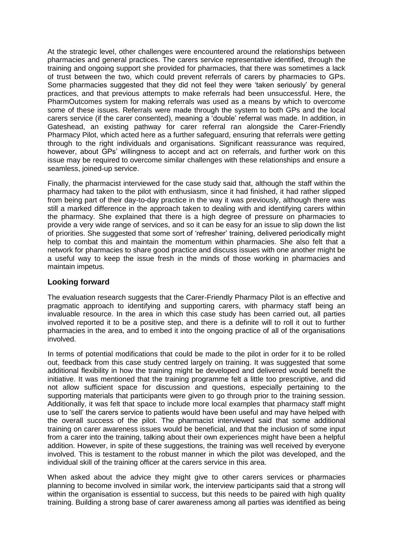At the strategic level, other challenges were encountered around the relationships between pharmacies and general practices. The carers service representative identified, through the training and ongoing support she provided for pharmacies, that there was sometimes a lack of trust between the two, which could prevent referrals of carers by pharmacies to GPs. Some pharmacies suggested that they did not feel they were 'taken seriously' by general practices, and that previous attempts to make referrals had been unsuccessful. Here, the PharmOutcomes system for making referrals was used as a means by which to overcome some of these issues. Referrals were made through the system to both GPs and the local carers service (if the carer consented), meaning a 'double' referral was made. In addition, in Gateshead, an existing pathway for carer referral ran alongside the Carer-Friendly Pharmacy Pilot, which acted here as a further safeguard, ensuring that referrals were getting through to the right individuals and organisations. Significant reassurance was required, however, about GPs' willingness to accept and act on referrals, and further work on this issue may be required to overcome similar challenges with these relationships and ensure a seamless, joined-up service.

Finally, the pharmacist interviewed for the case study said that, although the staff within the pharmacy had taken to the pilot with enthusiasm, since it had finished, it had rather slipped from being part of their day-to-day practice in the way it was previously, although there was still a marked difference in the approach taken to dealing with and identifying carers within the pharmacy. She explained that there is a high degree of pressure on pharmacies to provide a very wide range of services, and so it can be easy for an issue to slip down the list of priorities. She suggested that some sort of 'refresher' training, delivered periodically might help to combat this and maintain the momentum within pharmacies. She also felt that a network for pharmacies to share good practice and discuss issues with one another might be a useful way to keep the issue fresh in the minds of those working in pharmacies and maintain impetus.

## **Looking forward**

The evaluation research suggests that the Carer-Friendly Pharmacy Pilot is an effective and pragmatic approach to identifying and supporting carers, with pharmacy staff being an invaluable resource. In the area in which this case study has been carried out, all parties involved reported it to be a positive step, and there is a definite will to roll it out to further pharmacies in the area, and to embed it into the ongoing practice of all of the organisations involved.

In terms of potential modifications that could be made to the pilot in order for it to be rolled out, feedback from this case study centred largely on training. It was suggested that some additional flexibility in how the training might be developed and delivered would benefit the initiative. It was mentioned that the training programme felt a little too prescriptive, and did not allow sufficient space for discussion and questions, especially pertaining to the supporting materials that participants were given to go through prior to the training session. Additionally, it was felt that space to include more local examples that pharmacy staff might use to 'sell' the carers service to patients would have been useful and may have helped with the overall success of the pilot. The pharmacist interviewed said that some additional training on carer awareness issues would be beneficial, and that the inclusion of some input from a carer into the training, talking about their own experiences might have been a helpful addition. However, in spite of these suggestions, the training was well received by everyone involved. This is testament to the robust manner in which the pilot was developed, and the individual skill of the training officer at the carers service in this area.

When asked about the advice they might give to other carers services or pharmacies planning to become involved in similar work, the interview participants said that a strong will within the organisation is essential to success, but this needs to be paired with high quality training. Building a strong base of carer awareness among all parties was identified as being